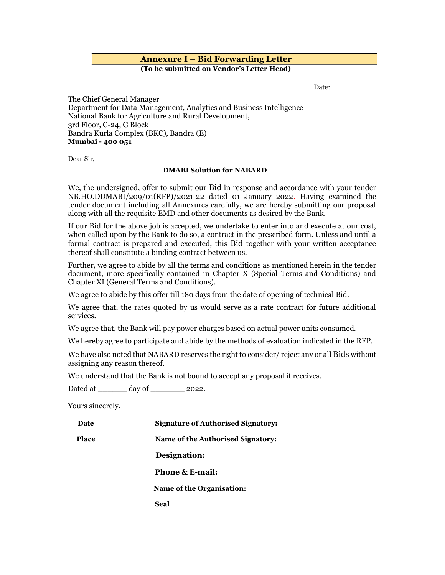### Annexure I – Bid Forwarding Letter (To be submitted on Vendor's Letter Head)

Date:

The Chief General Manager Department for Data Management, Analytics and Business Intelligence National Bank for Agriculture and Rural Development, 3rd Floor, C-24, G Block Bandra Kurla Complex (BKC), Bandra (E) Mumbai - 400 051

Dear Sir,

#### DMABI Solution for NABARD

We, the undersigned, offer to submit our Bid in response and accordance with your tender NB.HO.DDMABI/209/01(RFP)/2021-22 dated 01 January 2022. Having examined the tender document including all Annexures carefully, we are hereby submitting our proposal along with all the requisite EMD and other documents as desired by the Bank.

If our Bid for the above job is accepted, we undertake to enter into and execute at our cost, when called upon by the Bank to do so, a contract in the prescribed form. Unless and until a formal contract is prepared and executed, this Bid together with your written acceptance thereof shall constitute a binding contract between us.

Further, we agree to abide by all the terms and conditions as mentioned herein in the tender document, more specifically contained in Chapter X (Special Terms and Conditions) and Chapter XI (General Terms and Conditions).

We agree to abide by this offer till 180 days from the date of opening of technical Bid.

We agree that, the rates quoted by us would serve as a rate contract for future additional services.

We agree that, the Bank will pay power charges based on actual power units consumed.

We hereby agree to participate and abide by the methods of evaluation indicated in the RFP.

We have also noted that NABARD reserves the right to consider/ reject any or all Bids without assigning any reason thereof.

We understand that the Bank is not bound to accept any proposal it receives.

Dated at \_\_\_\_\_\_\_\_ day of \_\_\_\_\_\_\_\_ 2022.

Yours sincerely,

| Date         | <b>Signature of Authorised Signatory:</b> |
|--------------|-------------------------------------------|
| <b>Place</b> | Name of the Authorised Signatory:         |
|              | Designation:                              |
|              | <b>Phone &amp; E-mail:</b>                |
|              | <b>Name of the Organisation:</b>          |
|              | Seal                                      |